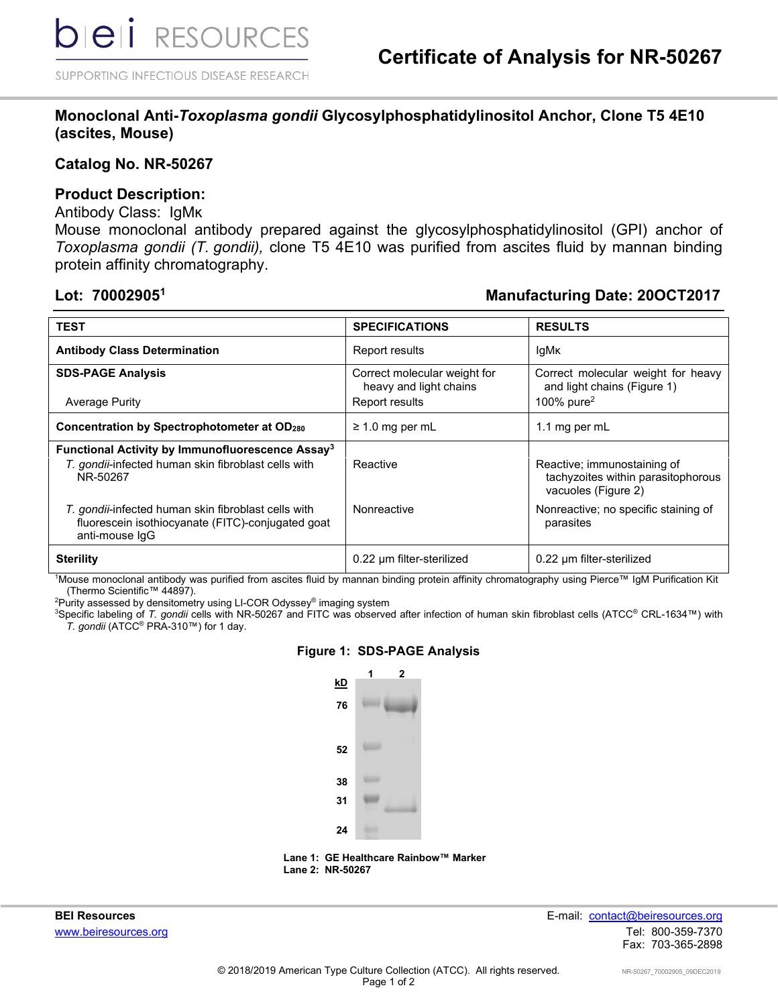SUPPORTING INFECTIOUS DISEASE RESEARCH

# **Monoclonal Anti-***Toxoplasma gondii* **Glycosylphosphatidylinositol Anchor, Clone T5 4E10 (ascites, Mouse)**

### **Catalog No. NR-50267**

#### **Product Description:**

#### Antibody Class: IgMK

Mouse monoclonal antibody prepared against the glycosylphosphatidylinositol (GPI) anchor of *Toxoplasma gondii (T. gondii),* clone T5 4E10 was purified from ascites fluid by mannan binding protein affinity chromatography.

# **Lot: 700029051 Manufacturing Date: 20OCT2017**

| <b>TEST</b>                                                                                                                     | <b>SPECIFICATIONS</b>                                                    | <b>RESULTS</b>                                                                           |
|---------------------------------------------------------------------------------------------------------------------------------|--------------------------------------------------------------------------|------------------------------------------------------------------------------------------|
| <b>Antibody Class Determination</b>                                                                                             | Report results                                                           | lgMk                                                                                     |
| <b>SDS-PAGE Analysis</b><br><b>Average Purity</b>                                                                               | Correct molecular weight for<br>heavy and light chains<br>Report results | Correct molecular weight for heavy<br>and light chains (Figure 1)<br>100% pure $2$       |
| Concentration by Spectrophotometer at OD280                                                                                     | $\geq$ 1.0 mg per mL                                                     | 1.1 mg per mL                                                                            |
| Functional Activity by Immunofluorescence Assay <sup>3</sup><br>T. gondii-infected human skin fibroblast cells with<br>NR-50267 | Reactive                                                                 | Reactive; immunostaining of<br>tachyzoites within parasitophorous<br>vacuoles (Figure 2) |
| T. gondii-infected human skin fibroblast cells with<br>fluorescein isothiocyanate (FITC)-conjugated goat<br>anti-mouse IgG      | Nonreactive                                                              | Nonreactive; no specific staining of<br>parasites                                        |
| <b>Sterility</b>                                                                                                                | 0.22 um filter-sterilized                                                | 0.22 um filter-sterilized                                                                |

1 Mouse monoclonal antibody was purified from ascites fluid by mannan binding protein affinity chromatography using Pierce™ IgM Purification Kit

(Thermo Scientific™ 44897). 2 Purity assessed by densitometry using LI-COR Odyssey® imaging system

3 Specific labeling of *T. gondii* cells with NR-50267 and FITC was observed after infection of human skin fibroblast cells (ATCC® CRL-1634™) with *T. gondii* (ATCC® PRA-310™) for 1 day.

#### **Figure 1: SDS-PAGE Analysis**